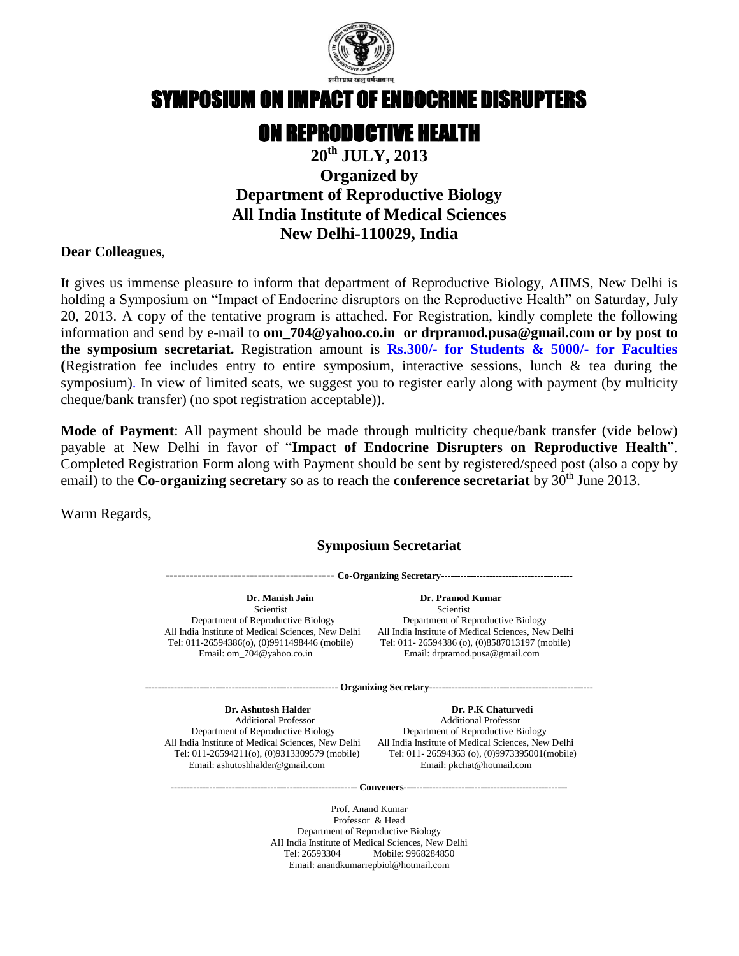

# SYMPOSIUM ON IMPACT OF ENDOCRINE DISRUPTERS

## ON REPRODUCTIVE HEALTH

### **20th JULY, 2013 Organized by Department of Reproductive Biology All India Institute of Medical Sciences New Delhi-110029, India**

#### **Dear Colleagues**,

It gives us immense pleasure to inform that department of Reproductive Biology, AIIMS, New Delhi is holding a Symposium on "Impact of Endocrine disruptors on the Reproductive Health" on Saturday, July 20, 2013. A copy of the tentative program is attached. For Registration, kindly complete the following information and send by e-mail to **[om\\_704@yahoo.co.in](mailto:om_704@yahoo.co.in) or [drpramod.pusa@gmail.com](mailto:drpramod.pusa@gmail.com) or by post to the symposium secretariat.** Registration amount is **Rs.300/- for Students & 5000/- for Faculties (**Registration fee includes entry to entire symposium, interactive sessions, lunch & tea during the symposium). In view of limited seats, we suggest you to register early along with payment (by multicity cheque/bank transfer) (no spot registration acceptable)).

**Mode of Payment**: All payment should be made through multicity cheque/bank transfer (vide below) payable at New Delhi in favor of "**Impact of Endocrine Disrupters on Reproductive Health**". Completed Registration Form along with Payment should be sent by registered/speed post (also a copy by email) to the **Co-organizing secretary** so as to reach the **conference secretariat** by  $30^{\text{th}}$  June 2013.

Warm Regards,

#### **Symposium Secretariat**

**------------------------------------------ Co-Organizing Secretary-----------------------------------------**

 **Dr. Manish Jain Dr. Pramod Kumar** Scientist Scientist Scientist Scientist Scientist Scientist Scientist Scientist Scientist Scientist Scientist Scientist Scientist Scientist Scientist Scientist Scientist Scientist Scientist Scientist Scientist Scientist Sc

Department of Reproductive Biology Department of Reproductive Biology All India Institute of Medical Sciences, New Delhi All India Institute of Medical Sciences, New Delhi Tel: 011-26594386(o), (0)9911498446 (mobile) Tel: 011- 26594386 (o), (0)8587013197 (mobile) Email: om\_704@yahoo.co.in Email: drpramod.pusa@gmail.com

**------------------------------------------------------------ Organizing Secretary---------------------------------------------------**

Email[: ashutoshhalder@gmail.com](mailto:ashutoshhalder@gmail.com)

**Dr. Ashutosh Halder Dr. P.K Chaturvedi**  Additional Professor Additional Professor Department of Reproductive Biology Department of Reproductive Biology All India Institute of Medical Sciences, New Delhi All India Institute of Medical Sciences, New Delhi<br>Tel: 011-26594211(0), (0)9313309579 (mobile) Tel: 011-26594363 (0), (0)9973395001(mobile) Tel: 011-26594363 (o), (0)9973395001(mobile)<br>Email: pkchat@hotmail.com

**---------------------------------------------------------- Conveners---------------------------------------------------**

Prof. Anand Kumar Professor & Head Department of Reproductive Biology AII India Institute of Medical Sciences, New Delhi Tel: 26593304 Mobile: 9968284850 Email: anandkumarrepbiol@hotmail.com